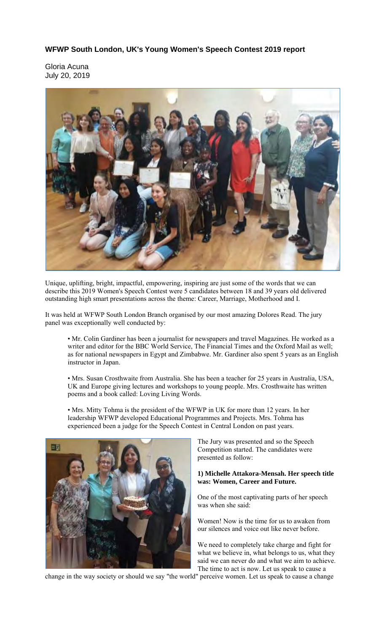# **WFWP South London, UK's Young Women's Speech Contest 2019 report**

Gloria Acuna July 20, 2019



Unique, uplifting, bright, impactful, empowering, inspiring are just some of the words that we can describe this 2019 Women's Speech Contest were 5 candidates between 18 and 39 years old delivered outstanding high smart presentations across the theme: Career, Marriage, Motherhood and I.

It was held at WFWP South London Branch organised by our most amazing Dolores Read. The jury panel was exceptionally well conducted by:

• Mr. Colin Gardiner has been a journalist for newspapers and travel Magazines. He worked as a writer and editor for the BBC World Service, The Financial Times and the Oxford Mail as well; as for national newspapers in Egypt and Zimbabwe. Mr. Gardiner also spent 5 years as an English instructor in Japan.

• Mrs. Susan Crosthwaite from Australia. She has been a teacher for 25 years in Australia, USA, UK and Europe giving lectures and workshops to young people. Mrs. Crosthwaite has written poems and a book called: Loving Living Words.

• Mrs. Mitty Tohma is the president of the WFWP in UK for more than 12 years. In her leadership WFWP developed Educational Programmes and Projects. Mrs. Tohma has experienced been a judge for the Speech Contest in Central London on past years.



The Jury was presented and so the Speech Competition started. The candidates were presented as follow:

#### **1) Michelle Attakora-Mensah. Her speech title was: Women, Career and Future.**

One of the most captivating parts of her speech was when she said:

Women! Now is the time for us to awaken from our silences and voice out like never before.

We need to completely take charge and fight for what we believe in, what belongs to us, what they said we can never do and what we aim to achieve. The time to act is now. Let us speak to cause a

change in the way society or should we say "the world" perceive women. Let us speak to cause a change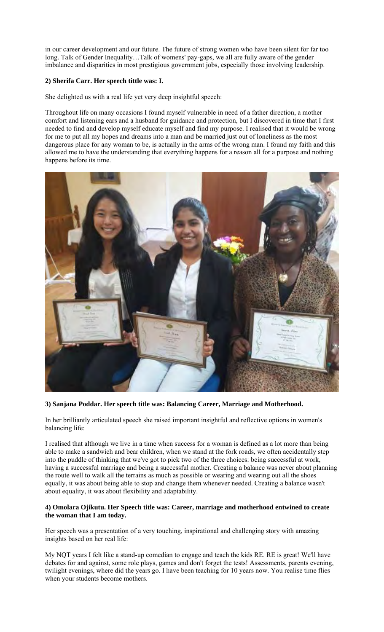in our career development and our future. The future of strong women who have been silent for far too long. Talk of Gender Inequality…Talk of womens' pay-gaps, we all are fully aware of the gender imbalance and disparities in most prestigious government jobs, especially those involving leadership.

## **2) Sherifa Carr. Her speech tittle was: I.**

She delighted us with a real life yet very deep insightful speech:

Throughout life on many occasions I found myself vulnerable in need of a father direction, a mother comfort and listening ears and a husband for guidance and protection, but I discovered in time that I first needed to find and develop myself educate myself and find my purpose. I realised that it would be wrong for me to put all my hopes and dreams into a man and be married just out of loneliness as the most dangerous place for any woman to be, is actually in the arms of the wrong man. I found my faith and this allowed me to have the understanding that everything happens for a reason all for a purpose and nothing happens before its time.



# **3) Sanjana Poddar. Her speech title was: Balancing Career, Marriage and Motherhood.**

In her brilliantly articulated speech she raised important insightful and reflective options in women's balancing life:

I realised that although we live in a time when success for a woman is defined as a lot more than being able to make a sandwich and bear children, when we stand at the fork roads, we often accidentally step into the puddle of thinking that we've got to pick two of the three choices: being successful at work, having a successful marriage and being a successful mother. Creating a balance was never about planning the route well to walk all the terrains as much as possible or wearing and wearing out all the shoes equally, it was about being able to stop and change them whenever needed. Creating a balance wasn't about equality, it was about flexibility and adaptability.

#### **4) Omolara Ojikutu. Her Speech title was: Career, marriage and motherhood entwined to create the woman that I am today.**

Her speech was a presentation of a very touching, inspirational and challenging story with amazing insights based on her real life:

My NQT years I felt like a stand-up comedian to engage and teach the kids RE. RE is great! We'll have debates for and against, some role plays, games and don't forget the tests! Assessments, parents evening, twilight evenings, where did the years go. I have been teaching for 10 years now. You realise time flies when your students become mothers.